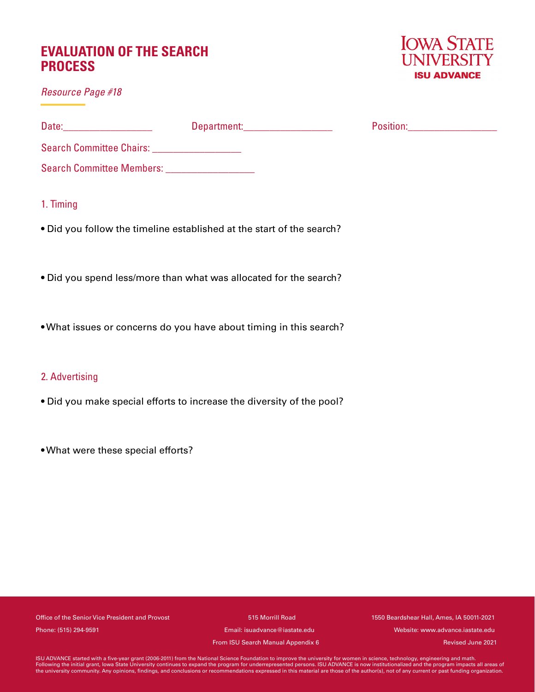# **EVALUATION OF THE SEARCH PROCESS**

*Resource Page #18*



|                                               | Department: Department: | Position:_____________________ |  |
|-----------------------------------------------|-------------------------|--------------------------------|--|
| Search Committee Chairs: ____________________ |                         |                                |  |
| Search Committee Members: __________________  |                         |                                |  |
| 1. Timing                                     |                         |                                |  |

- Did you follow the timeline established at the start of the search?
- Did you spend less/more than what was allocated for the search?
- What issues or concerns do you have about timing in this search?

## 2. Advertising

- Did you make special efforts to increase the diversity of the pool?
- What were these special efforts?

Office of the Senior Vice President and Provost 1515 Morrill Road 1550 Beardshear Hall, Ames, IA 50011-2021 Phone: (515) 294-9591 Email: isuadvance@iastate.edu Website: www.advance.iastate.edu

From ISU Search Manual Appendix 6

Revised June 2021

ISU ADVANCE started with a five-year grant (2006-2011) from the National Science Foundation to improve the university for women in science, technology, engineering and math.<br>Following the initial grant, lowa State Universi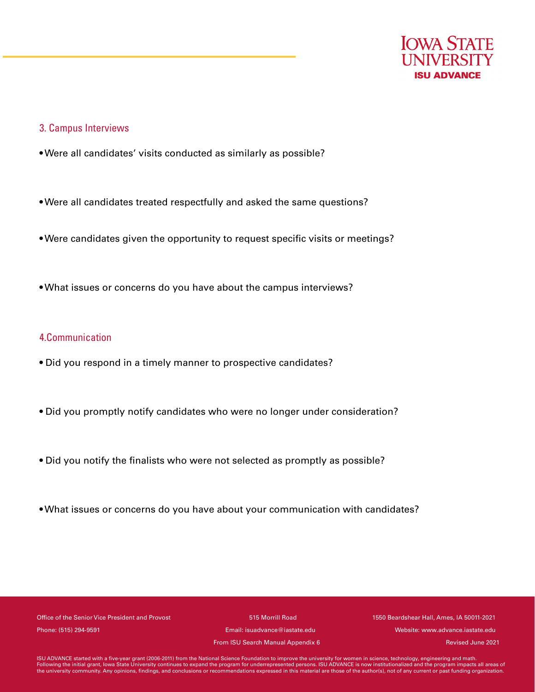

#### 3. Campus Interviews

- Were all candidates' visits conducted as similarly as possible?
- Were all candidates treated respectfully and asked the same questions?
- Were candidates given the opportunity to request specific visits or meetings?
- What issues or concerns do you have about the campus interviews?

### 4.Communication

- Did you respond in a timely manner to prospective candidates?
- Did you promptly notify candidates who were no longer under consideration?
- Did you notify the finalists who were not selected as promptly as possible?
- What issues or concerns do you have about your communication with candidates?

Office of the Senior Vice President and Provost 515 Morrill Road 1550 Beardshear Hall, Ames, IA 50011-2021 Phone: (515) 294-9591 Email: isuadvance@iastate.edu Website: www.advance.iastate.edu

From ISU Search Manual Appendix 6

Revised June 2021

ISU ADVANCE started with a five-year grant (2006-2011) from the National Science Foundation to improve the university for women in science, technology, engineering and math.<br>Following the initial grant, lowa State Universi the university community. Any opinions, findings, and conclusions or recommendations expressed in this material are those of the author(s), not of any current or past funding organization.